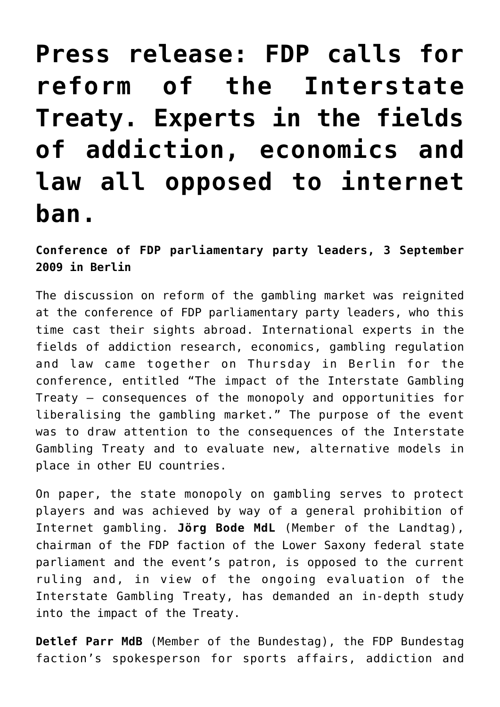## **[Press release: FDP calls for](https://www.isa-guide.de/english-news/articles/27336.html) [reform of the Interstate](https://www.isa-guide.de/english-news/articles/27336.html) [Treaty. Experts in the fields](https://www.isa-guide.de/english-news/articles/27336.html) [of addiction, economics and](https://www.isa-guide.de/english-news/articles/27336.html) [law all opposed to internet](https://www.isa-guide.de/english-news/articles/27336.html) [ban.](https://www.isa-guide.de/english-news/articles/27336.html)**

**Conference of FDP parliamentary party leaders, 3 September 2009 in Berlin**

The discussion on reform of the gambling market was reignited at the conference of FDP parliamentary party leaders, who this time cast their sights abroad. International experts in the fields of addiction research, economics, gambling regulation and law came together on Thursday in Berlin for the conference, entitled "The impact of the Interstate Gambling Treaty – consequences of the monopoly and opportunities for liberalising the gambling market." The purpose of the event was to draw attention to the consequences of the Interstate Gambling Treaty and to evaluate new, alternative models in place in other EU countries.

On paper, the state monopoly on gambling serves to protect players and was achieved by way of a general prohibition of Internet gambling. **Jörg Bode MdL** (Member of the Landtag), chairman of the FDP faction of the Lower Saxony federal state parliament and the event's patron, is opposed to the current ruling and, in view of the ongoing evaluation of the Interstate Gambling Treaty, has demanded an in-depth study into the impact of the Treaty.

**Detlef Parr MdB** (Member of the Bundestag), the FDP Bundestag faction's spokesperson for sports affairs, addiction and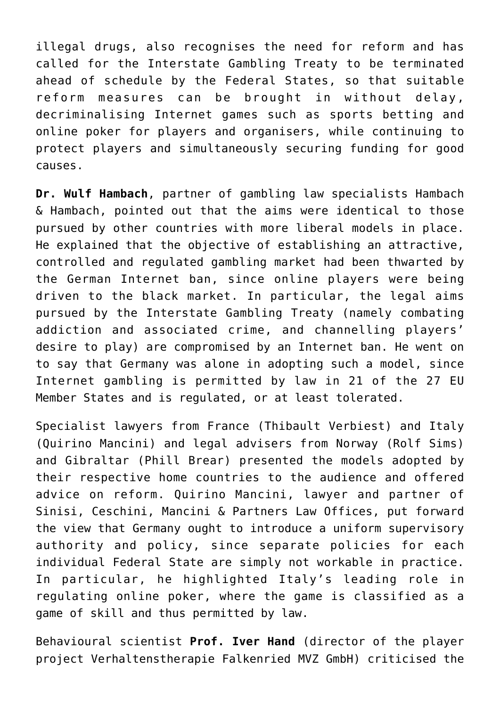illegal drugs, also recognises the need for reform and has called for the Interstate Gambling Treaty to be terminated ahead of schedule by the Federal States, so that suitable reform measures can be brought in without delay, decriminalising Internet games such as sports betting and online poker for players and organisers, while continuing to protect players and simultaneously securing funding for good causes.

**Dr. Wulf Hambach**, partner of gambling law specialists Hambach & Hambach, pointed out that the aims were identical to those pursued by other countries with more liberal models in place. He explained that the objective of establishing an attractive, controlled and regulated gambling market had been thwarted by the German Internet ban, since online players were being driven to the black market. In particular, the legal aims pursued by the Interstate Gambling Treaty (namely combating addiction and associated crime, and channelling players' desire to play) are compromised by an Internet ban. He went on to say that Germany was alone in adopting such a model, since Internet gambling is permitted by law in 21 of the 27 EU Member States and is regulated, or at least tolerated.

Specialist lawyers from France (Thibault Verbiest) and Italy (Quirino Mancini) and legal advisers from Norway (Rolf Sims) and Gibraltar (Phill Brear) presented the models adopted by their respective home countries to the audience and offered advice on reform. Quirino Mancini, lawyer and partner of Sinisi, Ceschini, Mancini & Partners Law Offices, put forward the view that Germany ought to introduce a uniform supervisory authority and policy, since separate policies for each individual Federal State are simply not workable in practice. In particular, he highlighted Italy's leading role in regulating online poker, where the game is classified as a game of skill and thus permitted by law.

Behavioural scientist **Prof. Iver Hand** (director of the player project Verhaltenstherapie Falkenried MVZ GmbH) criticised the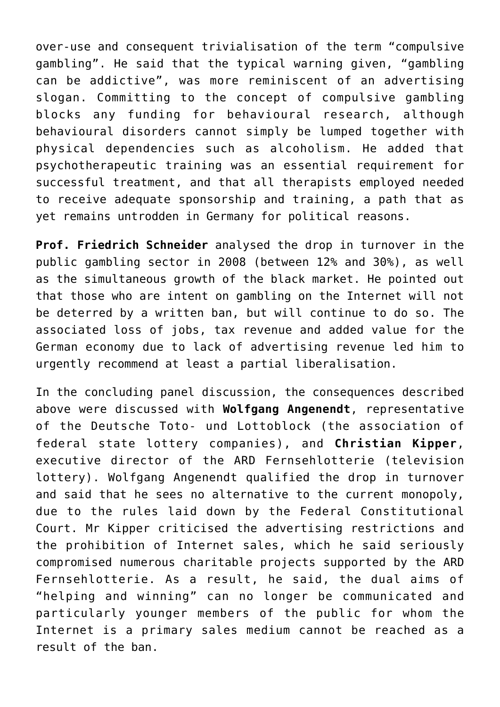over-use and consequent trivialisation of the term "compulsive gambling". He said that the typical warning given, "gambling can be addictive", was more reminiscent of an advertising slogan. Committing to the concept of compulsive gambling blocks any funding for behavioural research, although behavioural disorders cannot simply be lumped together with physical dependencies such as alcoholism. He added that psychotherapeutic training was an essential requirement for successful treatment, and that all therapists employed needed to receive adequate sponsorship and training, a path that as yet remains untrodden in Germany for political reasons.

**Prof. Friedrich Schneider** analysed the drop in turnover in the public gambling sector in 2008 (between 12% and 30%), as well as the simultaneous growth of the black market. He pointed out that those who are intent on gambling on the Internet will not be deterred by a written ban, but will continue to do so. The associated loss of jobs, tax revenue and added value for the German economy due to lack of advertising revenue led him to urgently recommend at least a partial liberalisation.

In the concluding panel discussion, the consequences described above were discussed with **Wolfgang Angenendt**, representative of the Deutsche Toto- und Lottoblock (the association of federal state lottery companies), and **Christian Kipper**, executive director of the ARD Fernsehlotterie (television lottery). Wolfgang Angenendt qualified the drop in turnover and said that he sees no alternative to the current monopoly, due to the rules laid down by the Federal Constitutional Court. Mr Kipper criticised the advertising restrictions and the prohibition of Internet sales, which he said seriously compromised numerous charitable projects supported by the ARD Fernsehlotterie. As a result, he said, the dual aims of "helping and winning" can no longer be communicated and particularly younger members of the public for whom the Internet is a primary sales medium cannot be reached as a result of the ban.